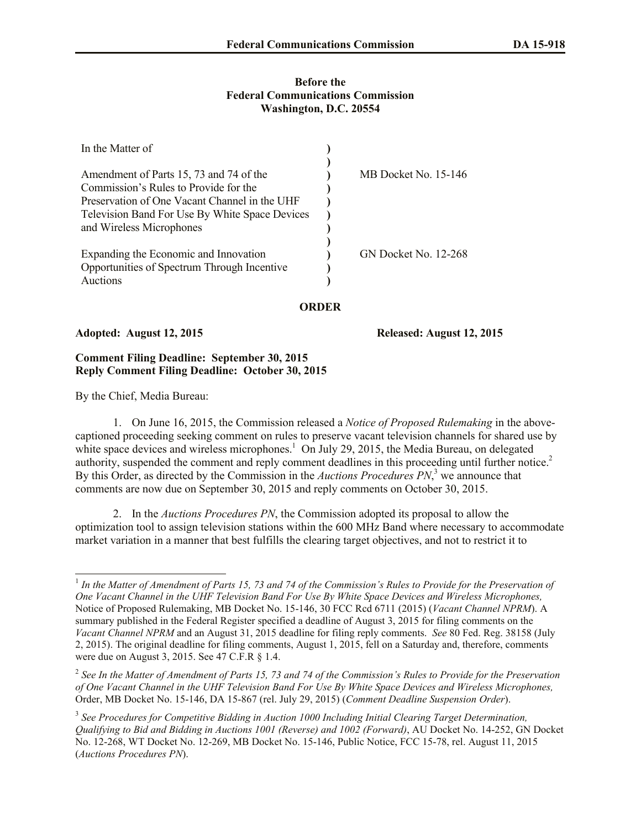## **Before the Federal Communications Commission Washington, D.C. 20554**

| In the Matter of                                                                                                            |                      |
|-----------------------------------------------------------------------------------------------------------------------------|----------------------|
| Amendment of Parts 15, 73 and 74 of the<br>Commission's Rules to Provide for the                                            | MB Docket No. 15-146 |
| Preservation of One Vacant Channel in the UHF<br>Television Band For Use By White Space Devices<br>and Wireless Microphones |                      |
| Expanding the Economic and Innovation<br>Opportunities of Spectrum Through Incentive<br>Auctions                            | GN Docket No. 12-268 |

**ORDER**

## **Adopted: August 12, 2015 Released: August 12, 2015**

## **Comment Filing Deadline: September 30, 2015 Reply Comment Filing Deadline: October 30, 2015**

By the Chief, Media Bureau:

 $\overline{a}$ 

1. On June 16, 2015, the Commission released a *Notice of Proposed Rulemaking* in the abovecaptioned proceeding seeking comment on rules to preserve vacant television channels for shared use by white space devices and wireless microphones.<sup>1</sup> On July 29, 2015, the Media Bureau, on delegated authority, suspended the comment and reply comment deadlines in this proceeding until further notice.<sup>2</sup> By this Order, as directed by the Commission in the *Auctions Procedures PN*, <sup>3</sup> we announce that comments are now due on September 30, 2015 and reply comments on October 30, 2015.

2. In the *Auctions Procedures PN*, the Commission adopted its proposal to allow the optimization tool to assign television stations within the 600 MHz Band where necessary to accommodate market variation in a manner that best fulfills the clearing target objectives, and not to restrict it to

<sup>&</sup>lt;sup>1</sup> In the Matter of Amendment of Parts 15, 73 and 74 of the Commission's Rules to Provide for the Preservation of *One Vacant Channel in the UHF Television Band For Use By White Space Devices and Wireless Microphones,* Notice of Proposed Rulemaking, MB Docket No. 15-146, 30 FCC Rcd 6711 (2015) (*Vacant Channel NPRM*). A summary published in the Federal Register specified a deadline of August 3, 2015 for filing comments on the *Vacant Channel NPRM* and an August 31, 2015 deadline for filing reply comments. *See* 80 Fed. Reg. 38158 (July 2, 2015). The original deadline for filing comments, August 1, 2015, fell on a Saturday and, therefore, comments were due on August 3, 2015. See 47 C.F.R § 1.4.

<sup>&</sup>lt;sup>2</sup> See In the Matter of Amendment of Parts 15, 73 and 74 of the Commission's Rules to Provide for the Preservation *of One Vacant Channel in the UHF Television Band For Use By White Space Devices and Wireless Microphones,* Order, MB Docket No. 15-146, DA 15-867 (rel. July 29, 2015) (*Comment Deadline Suspension Order*).

<sup>&</sup>lt;sup>3</sup> See Procedures for Competitive Bidding in Auction 1000 Including Initial Clearing Target Determination, *Qualifying to Bid and Bidding in Auctions 1001 (Reverse) and 1002 (Forward)*, AU Docket No. 14-252, GN Docket No. 12-268, WT Docket No. 12-269, MB Docket No. 15-146, Public Notice, FCC 15-78, rel. August 11, 2015 (*Auctions Procedures PN*).